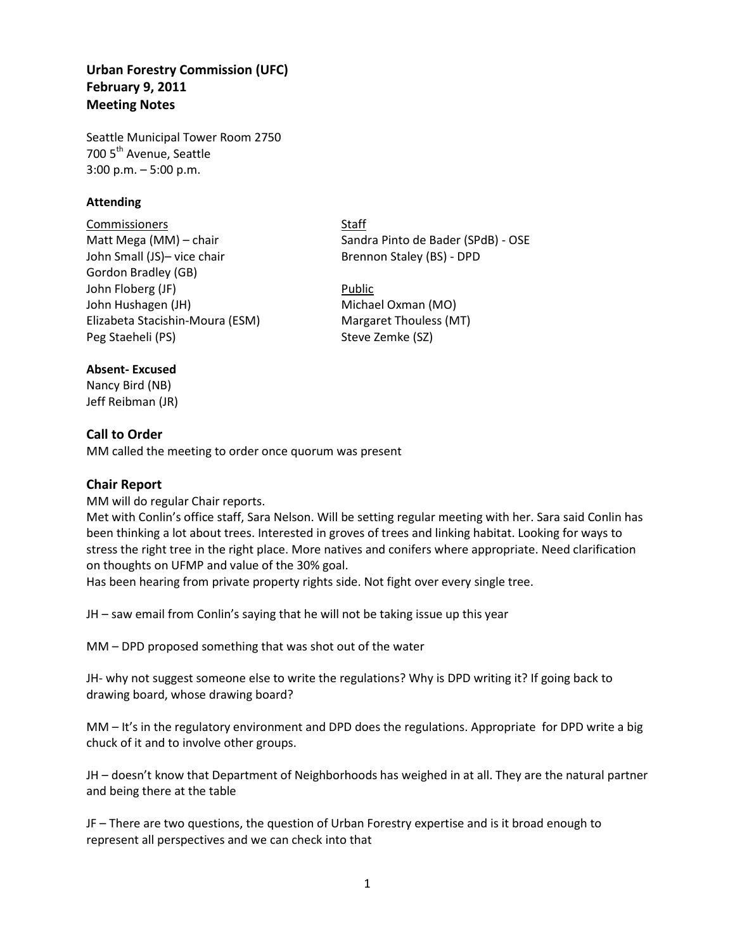## **Urban Forestry Commission (UFC) February 9, 2011 Meeting Notes**

Seattle Municipal Tower Room 2750 700 5<sup>th</sup> Avenue, Seattle 3:00 p.m. – 5:00 p.m.

### **Attending**

Commissioners Staff John Small (JS)- vice chair Brennon Staley (BS) - DPD Gordon Bradley (GB) John Floberg (JF) **Public** John Hushagen (JH) Michael Oxman (MO) Elizabeta Stacishin-Moura (ESM) Margaret Thouless (MT) Peg Staeheli (PS) Steve Zemke (SZ)

Matt Mega (MM) – chair Sandra Pinto de Bader (SPdB) - OSE

#### **Absent- Excused**

Nancy Bird (NB) Jeff Reibman (JR)

## **Call to Order**

MM called the meeting to order once quorum was present

## **Chair Report**

MM will do regular Chair reports.

Met with Conlin's office staff, Sara Nelson. Will be setting regular meeting with her. Sara said Conlin has been thinking a lot about trees. Interested in groves of trees and linking habitat. Looking for ways to stress the right tree in the right place. More natives and conifers where appropriate. Need clarification on thoughts on UFMP and value of the 30% goal.

Has been hearing from private property rights side. Not fight over every single tree.

JH – saw email from Conlin's saying that he will not be taking issue up this year

MM – DPD proposed something that was shot out of the water

JH- why not suggest someone else to write the regulations? Why is DPD writing it? If going back to drawing board, whose drawing board?

MM – It's in the regulatory environment and DPD does the regulations. Appropriate for DPD write a big chuck of it and to involve other groups.

JH – doesn't know that Department of Neighborhoods has weighed in at all. They are the natural partner and being there at the table

JF – There are two questions, the question of Urban Forestry expertise and is it broad enough to represent all perspectives and we can check into that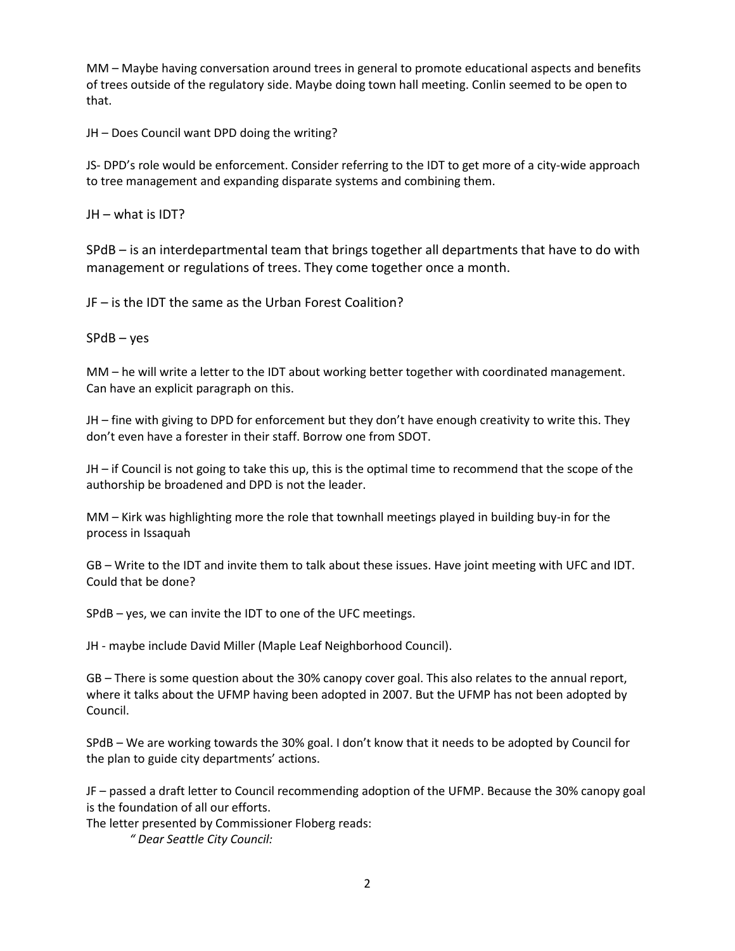MM – Maybe having conversation around trees in general to promote educational aspects and benefits of trees outside of the regulatory side. Maybe doing town hall meeting. Conlin seemed to be open to that.

JH – Does Council want DPD doing the writing?

JS- DPD's role would be enforcement. Consider referring to the IDT to get more of a city-wide approach to tree management and expanding disparate systems and combining them.

JH – what is IDT?

SPdB – is an interdepartmental team that brings together all departments that have to do with management or regulations of trees. They come together once a month.

JF – is the IDT the same as the Urban Forest Coalition?

SPdB – yes

MM – he will write a letter to the IDT about working better together with coordinated management. Can have an explicit paragraph on this.

JH – fine with giving to DPD for enforcement but they don't have enough creativity to write this. They don't even have a forester in their staff. Borrow one from SDOT.

JH – if Council is not going to take this up, this is the optimal time to recommend that the scope of the authorship be broadened and DPD is not the leader.

MM – Kirk was highlighting more the role that townhall meetings played in building buy-in for the process in Issaquah

GB – Write to the IDT and invite them to talk about these issues. Have joint meeting with UFC and IDT. Could that be done?

SPdB – yes, we can invite the IDT to one of the UFC meetings.

JH - maybe include David Miller (Maple Leaf Neighborhood Council).

GB – There is some question about the 30% canopy cover goal. This also relates to the annual report, where it talks about the UFMP having been adopted in 2007. But the UFMP has not been adopted by Council.

SPdB – We are working towards the 30% goal. I don't know that it needs to be adopted by Council for the plan to guide city departments' actions.

JF – passed a draft letter to Council recommending adoption of the UFMP. Because the 30% canopy goal is the foundation of all our efforts.

The letter presented by Commissioner Floberg reads:

*" Dear Seattle City Council:*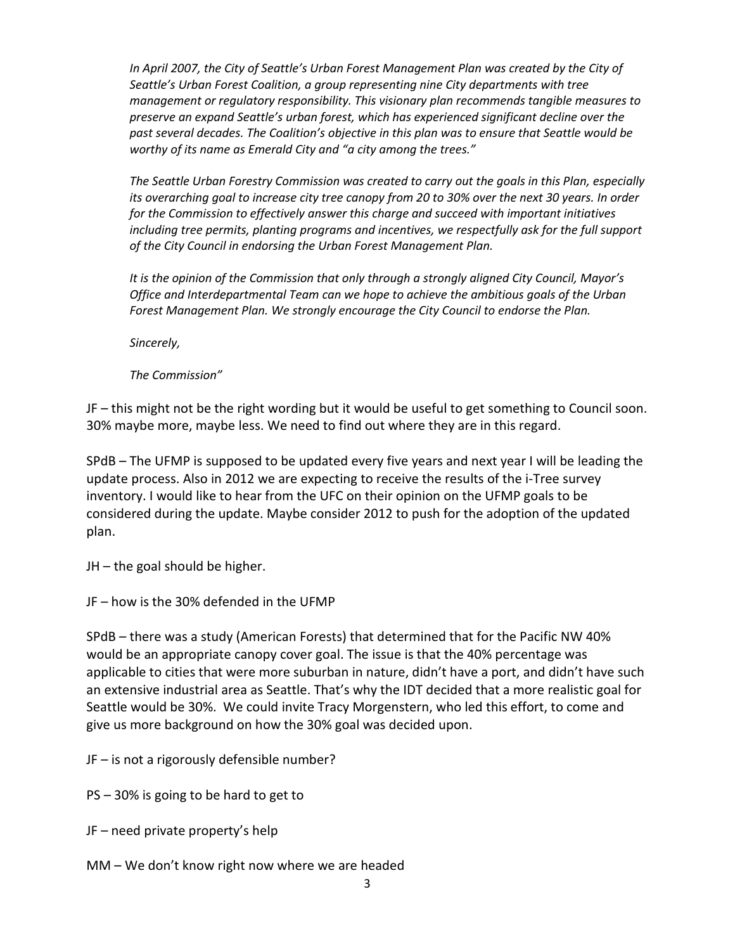*In April 2007, the City of Seattle's Urban Forest Management Plan was created by the City of Seattle's Urban Forest Coalition, a group representing nine City departments with tree management or regulatory responsibility. This visionary plan recommends tangible measures to preserve an expand Seattle's urban forest, which has experienced significant decline over the past several decades. The Coalition's objective in this plan was to ensure that Seattle would be worthy of its name as Emerald City and "a city among the trees."*

*The Seattle Urban Forestry Commission was created to carry out the goals in this Plan, especially its overarching goal to increase city tree canopy from 20 to 30% over the next 30 years. In order for the Commission to effectively answer this charge and succeed with important initiatives including tree permits, planting programs and incentives, we respectfully ask for the full support of the City Council in endorsing the Urban Forest Management Plan.*

*It is the opinion of the Commission that only through a strongly aligned City Council, Mayor's Office and Interdepartmental Team can we hope to achieve the ambitious goals of the Urban Forest Management Plan. We strongly encourage the City Council to endorse the Plan.*

*Sincerely,* 

*The Commission"*

JF – this might not be the right wording but it would be useful to get something to Council soon. 30% maybe more, maybe less. We need to find out where they are in this regard.

SPdB – The UFMP is supposed to be updated every five years and next year I will be leading the update process. Also in 2012 we are expecting to receive the results of the i-Tree survey inventory. I would like to hear from the UFC on their opinion on the UFMP goals to be considered during the update. Maybe consider 2012 to push for the adoption of the updated plan.

JH – the goal should be higher.

JF – how is the 30% defended in the UFMP

SPdB – there was a study (American Forests) that determined that for the Pacific NW 40% would be an appropriate canopy cover goal. The issue is that the 40% percentage was applicable to cities that were more suburban in nature, didn't have a port, and didn't have such an extensive industrial area as Seattle. That's why the IDT decided that a more realistic goal for Seattle would be 30%. We could invite Tracy Morgenstern, who led this effort, to come and give us more background on how the 30% goal was decided upon.

JF – is not a rigorously defensible number?

PS – 30% is going to be hard to get to

JF – need private property's help

MM – We don't know right now where we are headed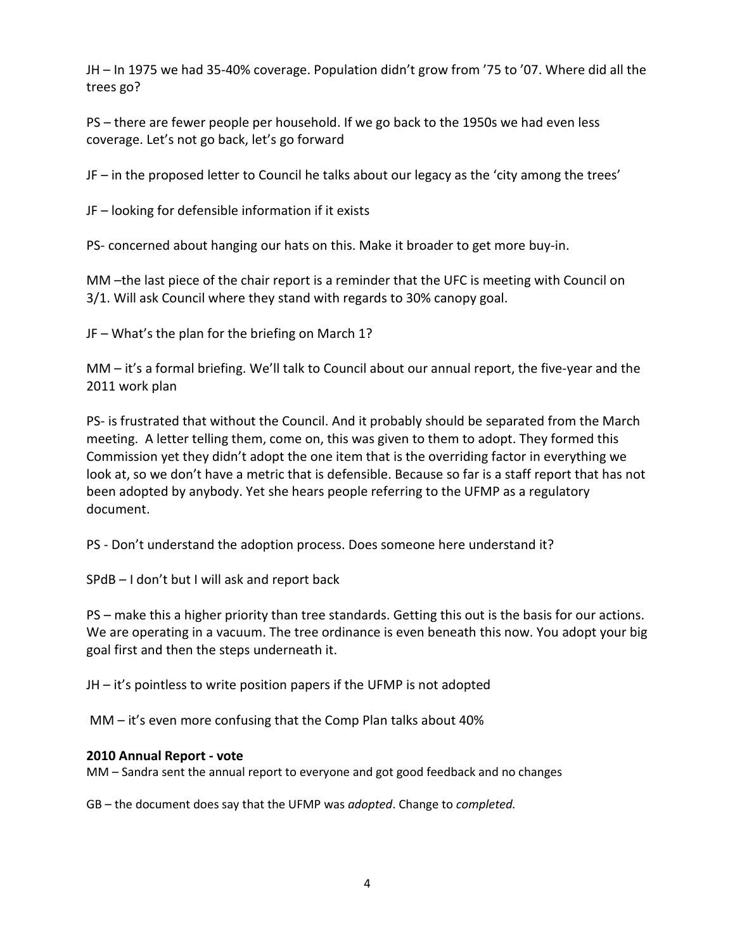JH – In 1975 we had 35-40% coverage. Population didn't grow from '75 to '07. Where did all the trees go?

PS – there are fewer people per household. If we go back to the 1950s we had even less coverage. Let's not go back, let's go forward

JF – in the proposed letter to Council he talks about our legacy as the 'city among the trees'

JF – looking for defensible information if it exists

PS- concerned about hanging our hats on this. Make it broader to get more buy-in.

MM –the last piece of the chair report is a reminder that the UFC is meeting with Council on 3/1. Will ask Council where they stand with regards to 30% canopy goal.

JF – What's the plan for the briefing on March 1?

MM – it's a formal briefing. We'll talk to Council about our annual report, the five-year and the 2011 work plan

PS- is frustrated that without the Council. And it probably should be separated from the March meeting. A letter telling them, come on, this was given to them to adopt. They formed this Commission yet they didn't adopt the one item that is the overriding factor in everything we look at, so we don't have a metric that is defensible. Because so far is a staff report that has not been adopted by anybody. Yet she hears people referring to the UFMP as a regulatory document.

PS - Don't understand the adoption process. Does someone here understand it?

SPdB – I don't but I will ask and report back

PS – make this a higher priority than tree standards. Getting this out is the basis for our actions. We are operating in a vacuum. The tree ordinance is even beneath this now. You adopt your big goal first and then the steps underneath it.

JH – it's pointless to write position papers if the UFMP is not adopted

MM – it's even more confusing that the Comp Plan talks about 40%

## **2010 Annual Report - vote**

MM – Sandra sent the annual report to everyone and got good feedback and no changes

GB – the document does say that the UFMP was *adopted*. Change to *completed.*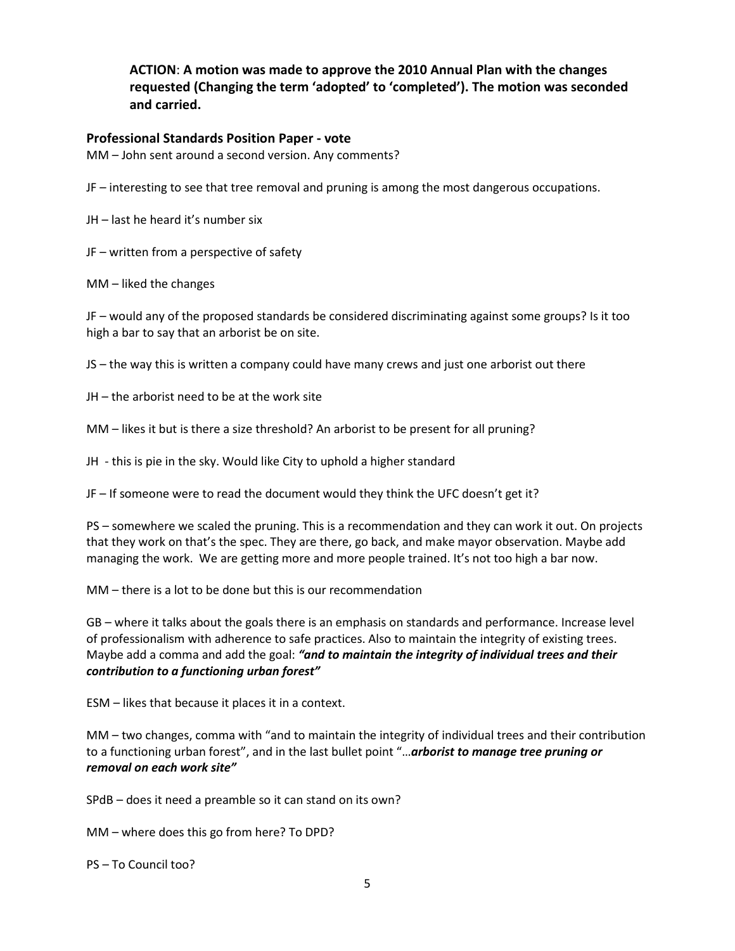**ACTION**: **A motion was made to approve the 2010 Annual Plan with the changes requested (Changing the term 'adopted' to 'completed'). The motion was seconded and carried.**

#### **Professional Standards Position Paper - vote**

MM – John sent around a second version. Any comments?

JF – interesting to see that tree removal and pruning is among the most dangerous occupations.

JH – last he heard it's number six

JF – written from a perspective of safety

MM – liked the changes

JF – would any of the proposed standards be considered discriminating against some groups? Is it too high a bar to say that an arborist be on site.

JS – the way this is written a company could have many crews and just one arborist out there

JH – the arborist need to be at the work site

MM – likes it but is there a size threshold? An arborist to be present for all pruning?

JH - this is pie in the sky. Would like City to uphold a higher standard

JF – If someone were to read the document would they think the UFC doesn't get it?

PS – somewhere we scaled the pruning. This is a recommendation and they can work it out. On projects that they work on that's the spec. They are there, go back, and make mayor observation. Maybe add managing the work. We are getting more and more people trained. It's not too high a bar now.

MM – there is a lot to be done but this is our recommendation

GB – where it talks about the goals there is an emphasis on standards and performance. Increase level of professionalism with adherence to safe practices. Also to maintain the integrity of existing trees. Maybe add a comma and add the goal: *"and to maintain the integrity of individual trees and their contribution to a functioning urban forest"*

ESM – likes that because it places it in a context.

MM – two changes, comma with "and to maintain the integrity of individual trees and their contribution to a functioning urban forest", and in the last bullet point "…*arborist to manage tree pruning or removal on each work site"* 

SPdB – does it need a preamble so it can stand on its own?

MM – where does this go from here? To DPD?

PS – To Council too?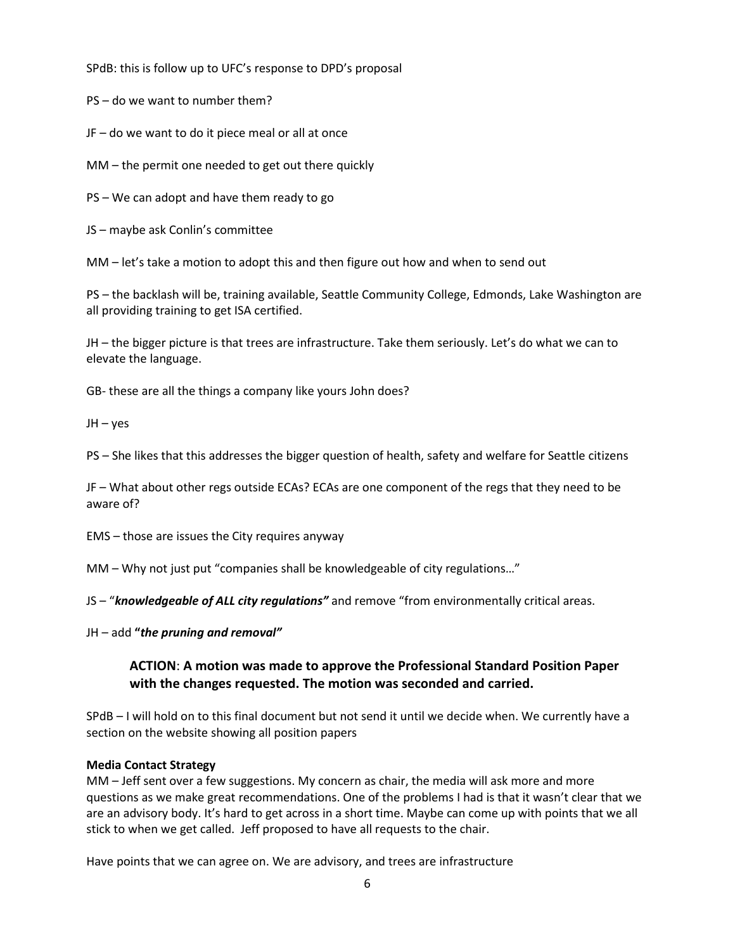SPdB: this is follow up to UFC's response to DPD's proposal

PS – do we want to number them?

JF – do we want to do it piece meal or all at once

MM – the permit one needed to get out there quickly

PS – We can adopt and have them ready to go

JS – maybe ask Conlin's committee

MM – let's take a motion to adopt this and then figure out how and when to send out

PS – the backlash will be, training available, Seattle Community College, Edmonds, Lake Washington are all providing training to get ISA certified.

JH – the bigger picture is that trees are infrastructure. Take them seriously. Let's do what we can to elevate the language.

GB- these are all the things a company like yours John does?

JH – yes

PS – She likes that this addresses the bigger question of health, safety and welfare for Seattle citizens

JF – What about other regs outside ECAs? ECAs are one component of the regs that they need to be aware of?

EMS – those are issues the City requires anyway

MM – Why not just put "companies shall be knowledgeable of city regulations…"

JS – "*knowledgeable of ALL city regulations"* and remove "from environmentally critical areas.

JH – add **"***the pruning and removal"* 

## **ACTION**: **A motion was made to approve the Professional Standard Position Paper with the changes requested. The motion was seconded and carried.**

SPdB – I will hold on to this final document but not send it until we decide when. We currently have a section on the website showing all position papers

#### **Media Contact Strategy**

MM – Jeff sent over a few suggestions. My concern as chair, the media will ask more and more questions as we make great recommendations. One of the problems I had is that it wasn't clear that we are an advisory body. It's hard to get across in a short time. Maybe can come up with points that we all stick to when we get called. Jeff proposed to have all requests to the chair.

Have points that we can agree on. We are advisory, and trees are infrastructure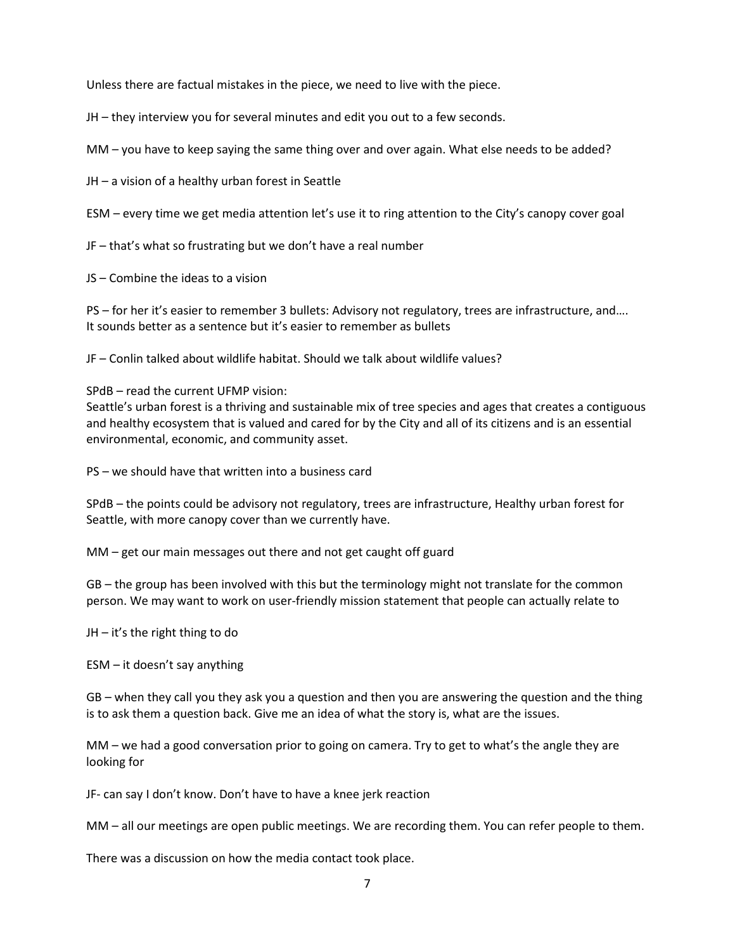Unless there are factual mistakes in the piece, we need to live with the piece.

JH – they interview you for several minutes and edit you out to a few seconds.

MM – you have to keep saying the same thing over and over again. What else needs to be added?

JH – a vision of a healthy urban forest in Seattle

ESM – every time we get media attention let's use it to ring attention to the City's canopy cover goal

JF – that's what so frustrating but we don't have a real number

JS – Combine the ideas to a vision

PS – for her it's easier to remember 3 bullets: Advisory not regulatory, trees are infrastructure, and…. It sounds better as a sentence but it's easier to remember as bullets

JF – Conlin talked about wildlife habitat. Should we talk about wildlife values?

SPdB – read the current UFMP vision:

Seattle's urban forest is a thriving and sustainable mix of tree species and ages that creates a contiguous and healthy ecosystem that is valued and cared for by the City and all of its citizens and is an essential environmental, economic, and community asset.

PS – we should have that written into a business card

SPdB – the points could be advisory not regulatory, trees are infrastructure, Healthy urban forest for Seattle, with more canopy cover than we currently have.

MM – get our main messages out there and not get caught off guard

GB – the group has been involved with this but the terminology might not translate for the common person. We may want to work on user-friendly mission statement that people can actually relate to

JH – it's the right thing to do

ESM – it doesn't say anything

GB – when they call you they ask you a question and then you are answering the question and the thing is to ask them a question back. Give me an idea of what the story is, what are the issues.

MM – we had a good conversation prior to going on camera. Try to get to what's the angle they are looking for

JF- can say I don't know. Don't have to have a knee jerk reaction

MM – all our meetings are open public meetings. We are recording them. You can refer people to them.

There was a discussion on how the media contact took place.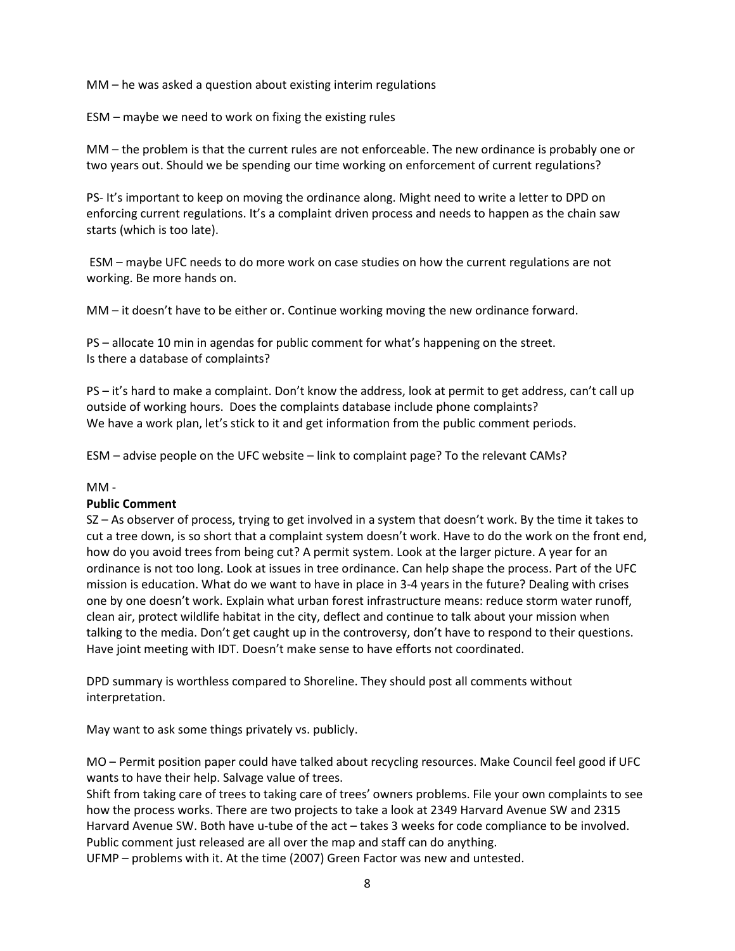MM – he was asked a question about existing interim regulations

ESM – maybe we need to work on fixing the existing rules

MM – the problem is that the current rules are not enforceable. The new ordinance is probably one or two years out. Should we be spending our time working on enforcement of current regulations?

PS- It's important to keep on moving the ordinance along. Might need to write a letter to DPD on enforcing current regulations. It's a complaint driven process and needs to happen as the chain saw starts (which is too late).

ESM – maybe UFC needs to do more work on case studies on how the current regulations are not working. Be more hands on.

MM – it doesn't have to be either or. Continue working moving the new ordinance forward.

PS – allocate 10 min in agendas for public comment for what's happening on the street. Is there a database of complaints?

PS – it's hard to make a complaint. Don't know the address, look at permit to get address, can't call up outside of working hours. Does the complaints database include phone complaints? We have a work plan, let's stick to it and get information from the public comment periods.

ESM – advise people on the UFC website – link to complaint page? To the relevant CAMs?

#### MM -

#### **Public Comment**

SZ – As observer of process, trying to get involved in a system that doesn't work. By the time it takes to cut a tree down, is so short that a complaint system doesn't work. Have to do the work on the front end, how do you avoid trees from being cut? A permit system. Look at the larger picture. A year for an ordinance is not too long. Look at issues in tree ordinance. Can help shape the process. Part of the UFC mission is education. What do we want to have in place in 3-4 years in the future? Dealing with crises one by one doesn't work. Explain what urban forest infrastructure means: reduce storm water runoff, clean air, protect wildlife habitat in the city, deflect and continue to talk about your mission when talking to the media. Don't get caught up in the controversy, don't have to respond to their questions. Have joint meeting with IDT. Doesn't make sense to have efforts not coordinated.

DPD summary is worthless compared to Shoreline. They should post all comments without interpretation.

May want to ask some things privately vs. publicly.

MO – Permit position paper could have talked about recycling resources. Make Council feel good if UFC wants to have their help. Salvage value of trees.

Shift from taking care of trees to taking care of trees' owners problems. File your own complaints to see how the process works. There are two projects to take a look at 2349 Harvard Avenue SW and 2315 Harvard Avenue SW. Both have u-tube of the act – takes 3 weeks for code compliance to be involved. Public comment just released are all over the map and staff can do anything.

UFMP – problems with it. At the time (2007) Green Factor was new and untested.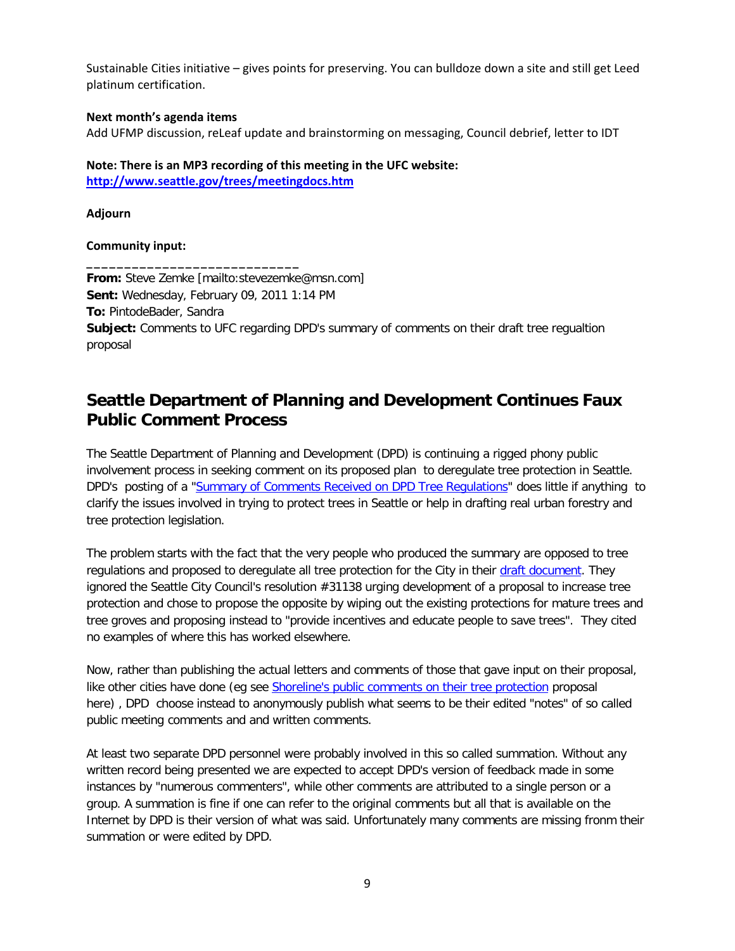Sustainable Cities initiative – gives points for preserving. You can bulldoze down a site and still get Leed platinum certification.

#### **Next month's agenda items**

Add UFMP discussion, reLeaf update and brainstorming on messaging, Council debrief, letter to IDT

# **Note: There is an MP3 recording of this meeting in the UFC website:**

**<http://www.seattle.gov/trees/meetingdocs.htm>**

**\_\_\_\_\_\_\_\_\_\_\_\_\_\_\_\_\_\_\_\_\_\_\_\_\_\_\_\_**

**Adjourn**

### **Community input:**

**From:** Steve Zemke [mailto:stevezemke@msn.com] **Sent:** Wednesday, February 09, 2011 1:14 PM **To:** PintodeBader, Sandra **Subject:** Comments to UFC regarding DPD's summary of comments on their draft tree regualtion proposal

# **Seattle Department of Planning and Development Continues Faux Public Comment Process**

The Seattle Department of Planning and Development (DPD) is continuing a rigged phony public involvement process in seeking comment on its proposed plan to deregulate tree protection in Seattle. DPD's posting of a ["Summary of Comments Received on DPD Tree Regulations"](http://www.seattle.gov/dpd/cms/groups/pan/@pan/@plan/@treeregulation/documents/web_informational/dpdp020588.pdf) does little if anything to clarify the issues involved in trying to protect trees in Seattle or help in drafting real urban forestry and tree protection legislation.

The problem starts with the fact that the very people who produced the summary are opposed to tree regulations and proposed to deregulate all tree protection for the City in their [draft document.](http://buildingconnections.seattle.gov/2010/07/22/dpd-proposed-tree-regulations-available/) They ignored the Seattle City Council's resolution #31138 urging development of a proposal to increase tree protection and chose to propose the opposite by wiping out the existing protections for mature trees and tree groves and proposing instead to "provide incentives and educate people to save trees". They cited no examples of where this has worked elsewhere.

Now, rather than publishing the actual letters and comments of those that gave input on their proposal, like other cities have done (eg see [Shoreline's public comments on their tree protection](http://www.cityofshoreline.com/index.aspx?page=501) proposal here) , DPD choose instead to anonymously publish what seems to be their edited "notes" of so called public meeting comments and and written comments.

At least two separate DPD personnel were probably involved in this so called summation. Without any written record being presented we are expected to accept DPD's version of feedback made in some instances by "numerous commenters", while other comments are attributed to a single person or a group. A summation is fine if one can refer to the original comments but all that is available on the Internet by DPD is their version of what was said. Unfortunately many comments are missing fronm their summation or were edited by DPD.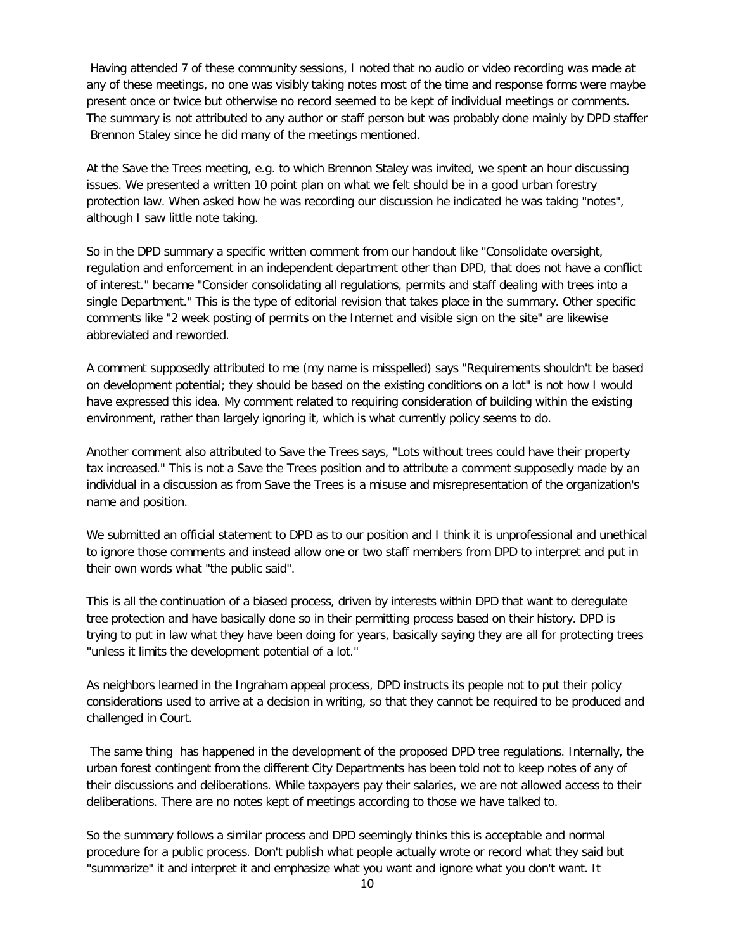Having attended 7 of these community sessions, I noted that no audio or video recording was made at any of these meetings, no one was visibly taking notes most of the time and response forms were maybe present once or twice but otherwise no record seemed to be kept of individual meetings or comments. The summary is not attributed to any author or staff person but was probably done mainly by DPD staffer Brennon Staley since he did many of the meetings mentioned.

At the Save the Trees meeting, e.g. to which Brennon Staley was invited, we spent an hour discussing issues. We presented a written 10 point plan on what we felt should be in a good urban forestry protection law. When asked how he was recording our discussion he indicated he was taking "notes", although I saw little note taking.

So in the DPD summary a specific written comment from our handout like "Consolidate oversight, regulation and enforcement in an independent department other than DPD, that does not have a conflict of interest." became "Consider consolidating all regulations, permits and staff dealing with trees into a single Department." This is the type of editorial revision that takes place in the summary. Other specific comments like "2 week posting of permits on the Internet and visible sign on the site" are likewise abbreviated and reworded.

A comment supposedly attributed to me (my name is misspelled) says "Requirements shouldn't be based on development potential; they should be based on the existing conditions on a lot" is not how I would have expressed this idea. My comment related to requiring consideration of building within the existing environment, rather than largely ignoring it, which is what currently policy seems to do.

Another comment also attributed to Save the Trees says, "Lots without trees could have their property tax increased." This is not a Save the Trees position and to attribute a comment supposedly made by an individual in a discussion as from Save the Trees is a misuse and misrepresentation of the organization's name and position.

We submitted an official statement to DPD as to our position and I think it is unprofessional and unethical to ignore those comments and instead allow one or two staff members from DPD to interpret and put in their own words what "the public said".

This is all the continuation of a biased process, driven by interests within DPD that want to deregulate tree protection and have basically done so in their permitting process based on their history. DPD is trying to put in law what they have been doing for years, basically saying they are all for protecting trees "unless it limits the development potential of a lot."

As neighbors learned in the Ingraham appeal process, DPD instructs its people not to put their policy considerations used to arrive at a decision in writing, so that they cannot be required to be produced and challenged in Court.

The same thing has happened in the development of the proposed DPD tree regulations. Internally, the urban forest contingent from the different City Departments has been told not to keep notes of any of their discussions and deliberations. While taxpayers pay their salaries, we are not allowed access to their deliberations. There are no notes kept of meetings according to those we have talked to.

So the summary follows a similar process and DPD seemingly thinks this is acceptable and normal procedure for a public process. Don't publish what people actually wrote or record what they said but "summarize" it and interpret it and emphasize what you want and ignore what you don't want. It